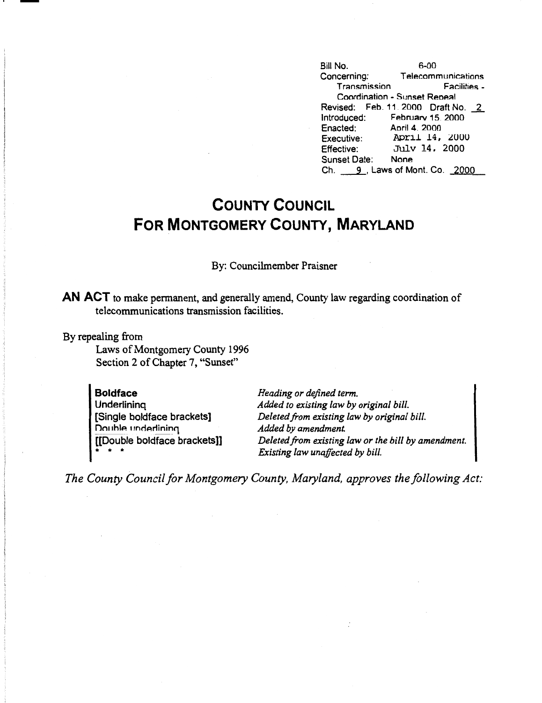Bill No. 6-00<br>Concerning: Telecomi Telecommunications<br>- Facilities Transmission Coordination - Sunset Reoeal Revised: Feb. 11. 2000 Draft No. 2<br>Introduced: February 15. 2000 Februarv 15. 2000<br>April 4. 2000 Enacted:<br>Executive: April 14, 2000 Effective: July 14, 2000<br>Sunset Date: None Sunset Date: Ch. 9, Laws of Mont. Co. 2000

## **COUNTY COUNCIL FOR MONTGOMERY COUNTY, MARYLAND**

## By: Councilmember Praisner

**AN ACT** to make permanent, and generally amend, County law regarding coordination of telecommunications transmission facilities.

By repealing from

-

Laws of Montgomery County 1996 Section 2 of Chapter 7, "Sunset"

| <b>Boldface</b>              |
|------------------------------|
| Underlining                  |
| [Single boldface brackets]   |
| Double underlining           |
| [[Double boldface brackets]] |

*Heading or defined term. Added to existing law by original bill. Deleted from existing law by original bill. Added by amendment. Deleted from existing law or the bill by amendment. Existing law unaffected by bill.* 

*The County Council for Montgomery County, Maryland, approves the following Act:*